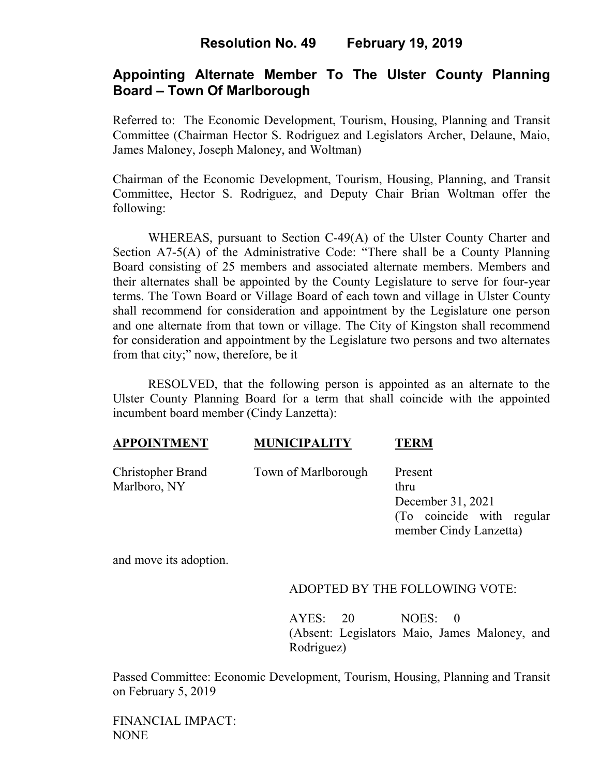## **Resolution No. 49 February 19, 2019**

## **Appointing Alternate Member To The Ulster County Planning Board – Town Of Marlborough**

Referred to: The Economic Development, Tourism, Housing, Planning and Transit Committee (Chairman Hector S. Rodriguez and Legislators Archer, Delaune, Maio, James Maloney, Joseph Maloney, and Woltman)

Chairman of the Economic Development, Tourism, Housing, Planning, and Transit Committee, Hector S. Rodriguez, and Deputy Chair Brian Woltman offer the following:

WHEREAS, pursuant to Section C-49(A) of the Ulster County Charter and Section A7-5(A) of the Administrative Code: "There shall be a County Planning Board consisting of 25 members and associated alternate members. Members and their alternates shall be appointed by the County Legislature to serve for four-year terms. The Town Board or Village Board of each town and village in Ulster County shall recommend for consideration and appointment by the Legislature one person and one alternate from that town or village. The City of Kingston shall recommend for consideration and appointment by the Legislature two persons and two alternates from that city;" now, therefore, be it

 RESOLVED, that the following person is appointed as an alternate to the Ulster County Planning Board for a term that shall coincide with the appointed incumbent board member (Cindy Lanzetta):

#### **APPOINTMENT MUNICIPALITY TERM**

Christopher Brand Town of Marlborough Present

Marlboro, NY thru December 31, 2021 (To coincide with regular member Cindy Lanzetta)

and move its adoption.

#### ADOPTED BY THE FOLLOWING VOTE:

AYES: 20 NOES: 0 (Absent: Legislators Maio, James Maloney, and Rodriguez)

Passed Committee: Economic Development, Tourism, Housing, Planning and Transit on February 5, 2019

FINANCIAL IMPACT: NONE